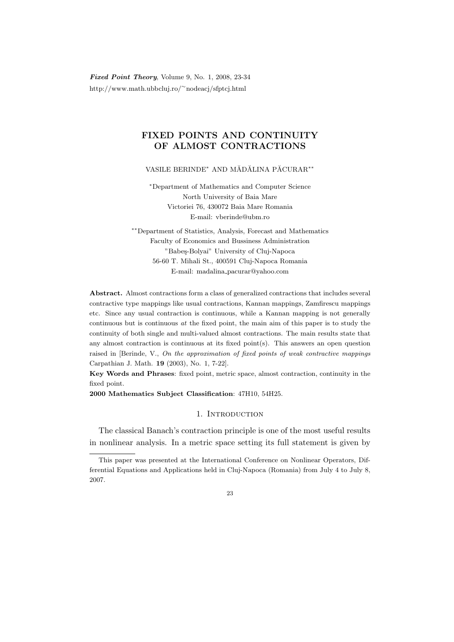Fixed Point Theory, Volume 9, No. 1, 2008, 23-34 http://www.math.ubbcluj.ro/<sup>∼</sup>nodeacj/sfptcj.html

# FIXED POINTS AND CONTINUITY OF ALMOST CONTRACTIONS

VASILE BERINDE<sup>∗</sup> AND MĂDĂLINA PĂCURAR<sup>\*\*</sup>

<sup>∗</sup>Department of Mathematics and Computer Science North University of Baia Mare Victoriei 76, 430072 Baia Mare Romania E-mail: vberinde@ubm.ro

∗∗Department of Statistics, Analysis, Forecast and Mathematics Faculty of Economics and Bussiness Administration "Babeş-Bolyai" University of Cluj-Napoca 56-60 T. Mihali St., 400591 Cluj-Napoca Romania E-mail: madalina pacurar@yahoo.com

Abstract. Almost contractions form a class of generalized contractions that includes several contractive type mappings like usual contractions, Kannan mappings, Zamfirescu mappings etc. Since any usual contraction is continuous, while a Kannan mapping is not generally continuous but is continuous  $at$  the fixed point, the main aim of this paper is to study the continuity of both single and multi-valued almost contractions. The main results state that any almost contraction is continuous at its fixed point $(s)$ . This answers an open question raised in [Berinde, V., On the approximation of fixed points of weak contractive mappings Carpathian J. Math. 19 (2003), No. 1, 7-22].

Key Words and Phrases: fixed point, metric space, almost contraction, continuity in the fixed point.

2000 Mathematics Subject Classification: 47H10, 54H25.

## 1. INTRODUCTION

The classical Banach's contraction principle is one of the most useful results in nonlinear analysis. In a metric space setting its full statement is given by

This paper was presented at the International Conference on Nonlinear Operators, Differential Equations and Applications held in Cluj-Napoca (Romania) from July 4 to July 8, 2007.

 $23$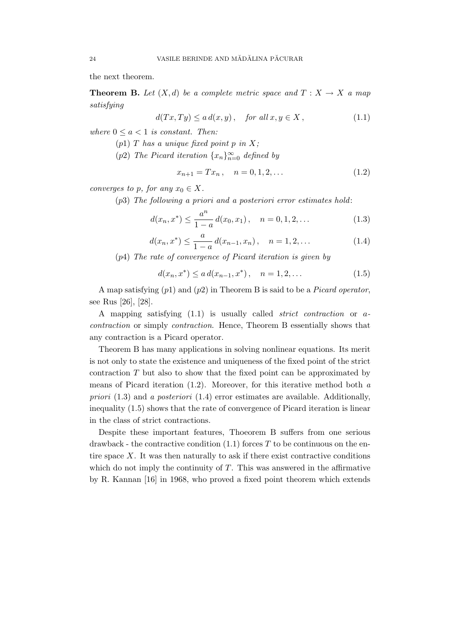the next theorem.

**Theorem B.** Let  $(X,d)$  be a complete metric space and  $T : X \to X$  a map satisfying

$$
d(Tx, Ty) \le a d(x, y), \quad \text{for all } x, y \in X,
$$
\n
$$
(1.1)
$$

where  $0 \leq a \leq 1$  is constant. Then:

- $(p1)$  T has a unique fixed point p in X;
- (p2) The Picard iteration  $\{x_n\}_{n=0}^{\infty}$  defined by

$$
x_{n+1} = Tx_n, \quad n = 0, 1, 2, \dots \tag{1.2}
$$

converges to p, for any  $x_0 \in X$ .

(p3) The following a priori and a posteriori error estimates hold:

$$
d(x_n, x^*) \le \frac{a^n}{1-a} d(x_0, x_1), \quad n = 0, 1, 2, \dots
$$
 (1.3)

$$
d(x_n, x^*) \le \frac{a}{1-a} d(x_{n-1}, x_n), \quad n = 1, 2, \dots
$$
 (1.4)

(p4) The rate of convergence of Picard iteration is given by

$$
d(x_n, x^*) \le a d(x_{n-1}, x^*), \quad n = 1, 2, \dots
$$
\n(1.5)

A map satisfying  $(p1)$  and  $(p2)$  in Theorem B is said to be a *Picard operator*, see Rus [26], [28].

A mapping satisfying (1.1) is usually called strict contraction or acontraction or simply contraction. Hence, Theorem B essentially shows that any contraction is a Picard operator.

Theorem B has many applications in solving nonlinear equations. Its merit is not only to state the existence and uniqueness of the fixed point of the strict contraction T but also to show that the fixed point can be approximated by means of Picard iteration  $(1.2)$ . Moreover, for this iterative method both a priori  $(1.3)$  and a posteriori  $(1.4)$  error estimates are available. Additionally, inequality (1.5) shows that the rate of convergence of Picard iteration is linear in the class of strict contractions.

Despite these important features, Thoeorem B suffers from one serious drawback - the contractive condition  $(1.1)$  forces T to be continuous on the entire space  $X$ . It was then naturally to ask if there exist contractive conditions which do not imply the continuity of  $T$ . This was answered in the affirmative by R. Kannan [16] in 1968, who proved a fixed point theorem which extends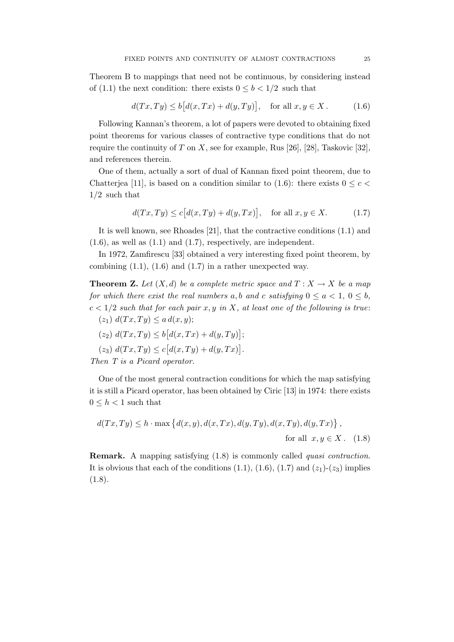Theorem B to mappings that need not be continuous, by considering instead of (1.1) the next condition: there exists  $0 \leq b < 1/2$  such that

$$
d(Tx, Ty) \le b\big[d(x, Tx) + d(y, Ty)\big], \quad \text{for all } x, y \in X. \tag{1.6}
$$

Following Kannan's theorem, a lot of papers were devoted to obtaining fixed point theorems for various classes of contractive type conditions that do not require the continuity of  $T$  on  $X$ , see for example, Rus [26], [28], Taskovic [32], and references therein.

One of them, actually a sort of dual of Kannan fixed point theorem, due to Chatterjea [11], is based on a condition similar to (1.6): there exists  $0 \leq c$  $1/2$  such that

$$
d(Tx, Ty) \le c[d(x, Ty) + d(y, Tx)], \text{ for all } x, y \in X. \tag{1.7}
$$

It is well known, see Rhoades [21], that the contractive conditions (1.1) and  $(1.6)$ , as well as  $(1.1)$  and  $(1.7)$ , respectively, are independent.

In 1972, Zamfirescu [33] obtained a very interesting fixed point theorem, by combining  $(1.1)$ ,  $(1.6)$  and  $(1.7)$  in a rather unexpected way.

**Theorem Z.** Let  $(X, d)$  be a complete metric space and  $T : X \to X$  be a map for which there exist the real numbers a, b and c satisfying  $0 \le a < 1, 0 \le b$ ,  $c < 1/2$  such that for each pair x, y in X, at least one of the following is true:

$$
(z_1) d(Tx,Ty) \leq a d(x,y);
$$

$$
(z_2) d(Tx,Ty) \le b[d(x,Tx) + d(y,Ty)];
$$

 $(z_3) d(Tx,Ty) \leq c [d(x,Ty) + d(y,Tx)].$ 

Then T is a Picard operator.

One of the most general contraction conditions for which the map satisfying it is still a Picard operator, has been obtained by Ciric [13] in 1974: there exists  $0 \leq h < 1$  such that

$$
d(Tx,Ty) \le h \cdot \max\left\{d(x,y), d(x,Tx), d(y,Ty), d(x,Ty), d(y,Tx)\right\},\
$$
for all  $x, y \in X$ . (1.8)

Remark. A mapping satisfying (1.8) is commonly called quasi contraction. It is obvious that each of the conditions  $(1.1)$ ,  $(1.6)$ ,  $(1.7)$  and  $(z_1)-(z_3)$  implies  $(1.8).$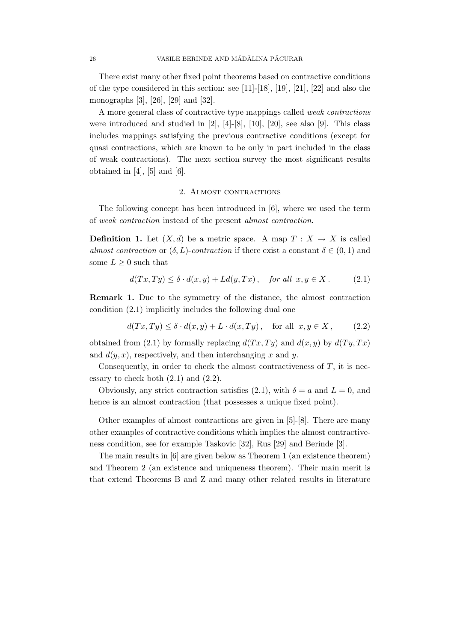There exist many other fixed point theorems based on contractive conditions of the type considered in this section: see [11]-[18], [19], [21], [22] and also the monographs [3], [26], [29] and [32].

A more general class of contractive type mappings called weak contractions were introduced and studied in  $[2]$ ,  $[4]-[8]$ ,  $[10]$ ,  $[20]$ , see also  $[9]$ . This class includes mappings satisfying the previous contractive conditions (except for quasi contractions, which are known to be only in part included in the class of weak contractions). The next section survey the most significant results obtained in  $[4]$ ,  $[5]$  and  $[6]$ .

#### 2. ALMOST CONTRACTIONS

The following concept has been introduced in [6], where we used the term of weak contraction instead of the present almost contraction.

**Definition 1.** Let  $(X, d)$  be a metric space. A map  $T : X \to X$  is called almost contraction or  $(\delta, L)$ -contraction if there exist a constant  $\delta \in (0, 1)$  and some  $L \geq 0$  such that

$$
d(Tx, Ty) \le \delta \cdot d(x, y) + Ld(y, Tx), \quad \text{for all } x, y \in X. \tag{2.1}
$$

Remark 1. Due to the symmetry of the distance, the almost contraction condition (2.1) implicitly includes the following dual one

$$
d(Tx,Ty) \le \delta \cdot d(x,y) + L \cdot d(x,Ty), \quad \text{for all } x, y \in X, \tag{2.2}
$$

obtained from (2.1) by formally replacing  $d(T_x, Ty)$  and  $d(x, y)$  by  $d(T_y, Tx)$ and  $d(y, x)$ , respectively, and then interchanging x and y.

Consequently, in order to check the almost contractiveness of  $T$ , it is necessary to check both  $(2.1)$  and  $(2.2)$ .

Obviously, any strict contraction satisfies (2.1), with  $\delta = a$  and  $L = 0$ , and hence is an almost contraction (that possesses a unique fixed point).

Other examples of almost contractions are given in [5]-[8]. There are many other examples of contractive conditions which implies the almost contractiveness condition, see for example Taskovic [32], Rus [29] and Berinde [3].

The main results in [6] are given below as Theorem 1 (an existence theorem) and Theorem 2 (an existence and uniqueness theorem). Their main merit is that extend Theorems B and Z and many other related results in literature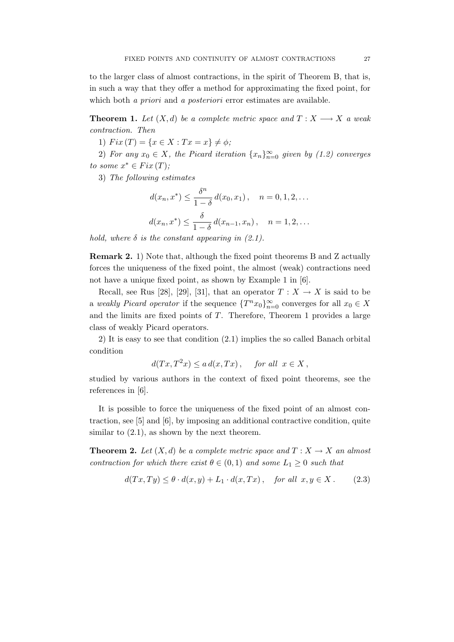to the larger class of almost contractions, in the spirit of Theorem B, that is, in such a way that they offer a method for approximating the fixed point, for which both *a priori* and *a posteriori* error estimates are available.

**Theorem 1.** Let  $(X,d)$  be a complete metric space and  $T: X \longrightarrow X$  a weak contraction. Then

1)  $Fix(T) = \{x \in X : Tx = x\} \neq \phi;$ 

2) For any  $x_0 \in X$ , the Picard iteration  $\{x_n\}_{n=0}^{\infty}$  given by (1.2) converges to some  $x^* \in Fix(T)$ ;

3) The following estimates

$$
d(x_n, x^*) \le \frac{\delta^n}{1 - \delta} d(x_0, x_1), \quad n = 0, 1, 2, \dots
$$
  

$$
d(x_n, x^*) \le \frac{\delta}{1 - \delta} d(x_{n-1}, x_n), \quad n = 1, 2, \dots
$$

hold, where  $\delta$  is the constant appearing in (2.1).

Remark 2. 1) Note that, although the fixed point theorems B and Z actually forces the uniqueness of the fixed point, the almost (weak) contractions need not have a unique fixed point, as shown by Example 1 in [6].

Recall, see Rus [28], [29], [31], that an operator  $T : X \to X$  is said to be a weakly Picard operator if the sequence  $\{T^n x_0\}_{n=0}^{\infty}$  converges for all  $x_0 \in X$ and the limits are fixed points of  $T$ . Therefore, Theorem 1 provides a large class of weakly Picard operators.

2) It is easy to see that condition (2.1) implies the so called Banach orbital condition

$$
d(Tx, T^2x) \le a d(x, Tx), \quad \text{for all } x \in X,
$$

studied by various authors in the context of fixed point theorems, see the references in [6].

It is possible to force the uniqueness of the fixed point of an almost contraction, see [5] and [6], by imposing an additional contractive condition, quite similar to  $(2.1)$ , as shown by the next theorem.

**Theorem 2.** Let  $(X, d)$  be a complete metric space and  $T : X \to X$  an almost contraction for which there exist  $\theta \in (0,1)$  and some  $L_1 \geq 0$  such that

$$
d(Tx,Ty) \le \theta \cdot d(x,y) + L_1 \cdot d(x,Tx), \quad \text{for all } x, y \in X. \tag{2.3}
$$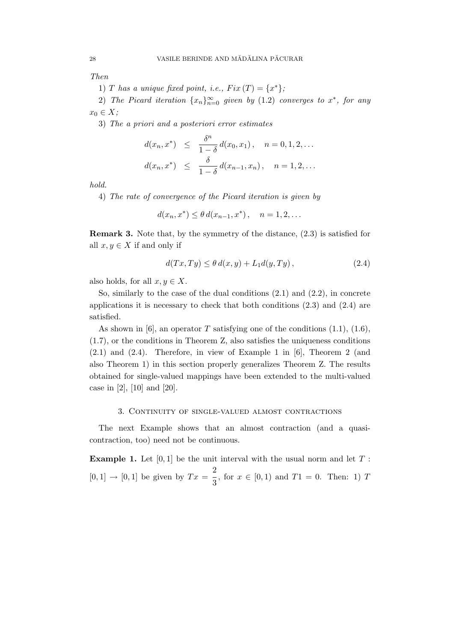Then

1) T has a unique fixed point, i.e.,  $Fix(T) = \{x^*\};$ 

2) The Picard iteration  $\{x_n\}_{n=0}^{\infty}$  given by  $(1.2)$  converges to  $x^*$ , for any  $x_0 \in X;$ 

3) The a priori and a posteriori error estimates

$$
d(x_n, x^*) \leq \frac{\delta^n}{1-\delta} d(x_0, x_1), \quad n = 0, 1, 2, \dots
$$
  

$$
d(x_n, x^*) \leq \frac{\delta}{1-\delta} d(x_{n-1}, x_n), \quad n = 1, 2, \dots
$$

hold.

4) The rate of convergence of the Picard iteration is given by

$$
d(x_n, x^*) \le \theta \, d(x_{n-1}, x^*) \,, \quad n = 1, 2, \dots
$$

Remark 3. Note that, by the symmetry of the distance, (2.3) is satisfied for all  $x, y \in X$  if and only if

$$
d(Tx, Ty) \le \theta \, d(x, y) + L_1 d(y, Ty) \,, \tag{2.4}
$$

also holds, for all  $x, y \in X$ .

So, similarly to the case of the dual conditions (2.1) and (2.2), in concrete applications it is necessary to check that both conditions  $(2.3)$  and  $(2.4)$  are satisfied.

As shown in [6], an operator T satisfying one of the conditions  $(1.1)$ ,  $(1.6)$ , (1.7), or the conditions in Theorem Z, also satisfies the uniqueness conditions (2.1) and (2.4). Therefore, in view of Example 1 in [6], Theorem 2 (and also Theorem 1) in this section properly generalizes Theorem Z. The results obtained for single-valued mappings have been extended to the multi-valued case in [2], [10] and [20].

### 3. Continuity of single-valued almost contractions

The next Example shows that an almost contraction (and a quasicontraction, too) need not be continuous.

**Example 1.** Let  $[0, 1]$  be the unit interval with the usual norm and let  $T$ :  $[0, 1] \rightarrow [0, 1]$  be given by  $Tx =$ 2  $\frac{1}{3}$ , for  $x \in [0,1)$  and  $T1 = 0$ . Then: 1) T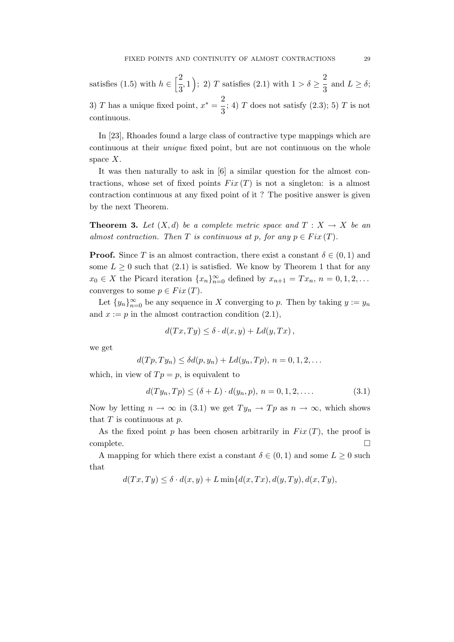satisfies (1.5) with  $h \in \left[\frac{2}{5}\right]$  $\left(\frac{2}{3}, 1\right)$ ; 2) T satisfies (2.1) with  $1 > \delta \ge$ 2  $\frac{1}{3}$  and  $L \geq \delta$ ; 3) T has a unique fixed point,  $x^* = \frac{2}{3}$  $\frac{1}{3}$ ; 4) *T* does not satisfy (2.3); 5) *T* is not continuous.

In [23], Rhoades found a large class of contractive type mappings which are continuous at their unique fixed point, but are not continuous on the whole space  $X$ .

It was then naturally to ask in [6] a similar question for the almost contractions, whose set of fixed points  $Fix(T)$  is not a singleton: is a almost contraction continuous at any fixed point of it ? The positive answer is given by the next Theorem.

**Theorem 3.** Let  $(X,d)$  be a complete metric space and  $T : X \to X$  be an almost contraction. Then T is continuous at p, for any  $p \in Fix(T)$ .

**Proof.** Since T is an almost contraction, there exist a constant  $\delta \in (0,1)$  and some  $L > 0$  such that  $(2.1)$  is satisfied. We know by Theorem 1 that for any  $x_0 \in X$  the Picard iteration  $\{x_n\}_{n=0}^{\infty}$  defined by  $x_{n+1} = Tx_n$ ,  $n = 0, 1, 2, \ldots$ converges to some  $p \in Fix(T)$ .

Let  ${y_n}_{n=0}^{\infty}$  be any sequence in X converging to p. Then by taking  $y := y_n$ and  $x := p$  in the almost contraction condition  $(2.1)$ ,

$$
d(Tx,Ty) \le \delta \cdot d(x,y) + Ld(y,Tx) ,
$$

we get

$$
d(Tp,Ty_n) \leq \delta d(p,y_n) + Ld(y_n,Tp), n = 0,1,2,\ldots
$$

which, in view of  $Tp = p$ , is equivalent to

$$
d(Ty_n, Tp) \le (\delta + L) \cdot d(y_n, p), \ n = 0, 1, 2, \dots
$$
\n(3.1)

Now by letting  $n \to \infty$  in (3.1) we get  $Ty_n \to Tp$  as  $n \to \infty$ , which shows that  $T$  is continuous at  $p$ .

As the fixed point p has been chosen arbitrarily in  $Fix(T)$ , the proof is complete.

A mapping for which there exist a constant  $\delta \in (0,1)$  and some  $L \geq 0$  such that

 $d(T x, Ty) \leq \delta \cdot d(x, y) + L \min\{d(x, Tx), d(y, Ty), d(x, Ty), d(y, Ty)\}$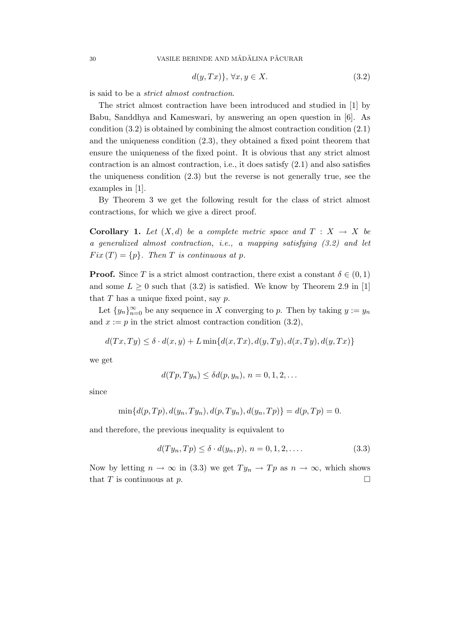$$
d(y,Tx)\}, \forall x, y \in X. \tag{3.2}
$$

is said to be a strict almost contraction.

The strict almost contraction have been introduced and studied in [1] by Babu, Sanddhya and Kameswari, by answering an open question in [6]. As condition (3.2) is obtained by combining the almost contraction condition (2.1) and the uniqueness condition (2.3), they obtained a fixed point theorem that ensure the uniqueness of the fixed point. It is obvious that any strict almost contraction is an almost contraction, i.e., it does satisfy (2.1) and also satisfies the uniqueness condition (2.3) but the reverse is not generally true, see the examples in [1].

By Theorem 3 we get the following result for the class of strict almost contractions, for which we give a direct proof.

**Corollary 1.** Let  $(X,d)$  be a complete metric space and  $T : X \rightarrow X$  be a generalized almost contraction, i.e., a mapping satisfying (3.2) and let  $Fix(T) = \{p\}.$  Then T is continuous at p.

**Proof.** Since T is a strict almost contraction, there exist a constant  $\delta \in (0,1)$ and some  $L \geq 0$  such that (3.2) is satisfied. We know by Theorem 2.9 in [1] that  $T$  has a unique fixed point, say  $p$ .

Let  ${y_n}_{n=0}^{\infty}$  be any sequence in X converging to p. Then by taking  $y := y_n$ and  $x := p$  in the strict almost contraction condition (3.2),

$$
d(Tx,Ty) \le \delta \cdot d(x,y) + L \min\{d(x,Tx), d(y,Ty), d(x,Ty), d(y,Tx)\}
$$

we get

$$
d(Tp, Ty_n) \leq \delta d(p, y_n), n = 0, 1, 2, \dots
$$

since

$$
\min\{d(p,Tp), d(y_n, Ty_n), d(p,Ty_n), d(y_n, T_p)\} = d(p,Tp) = 0.
$$

and therefore, the previous inequality is equivalent to

$$
d(Ty_n, Tp) \le \delta \cdot d(y_n, p), n = 0, 1, 2, \dots
$$
\n
$$
(3.3)
$$

Now by letting  $n \to \infty$  in (3.3) we get  $Ty_n \to Tp$  as  $n \to \infty$ , which shows that T is continuous at p.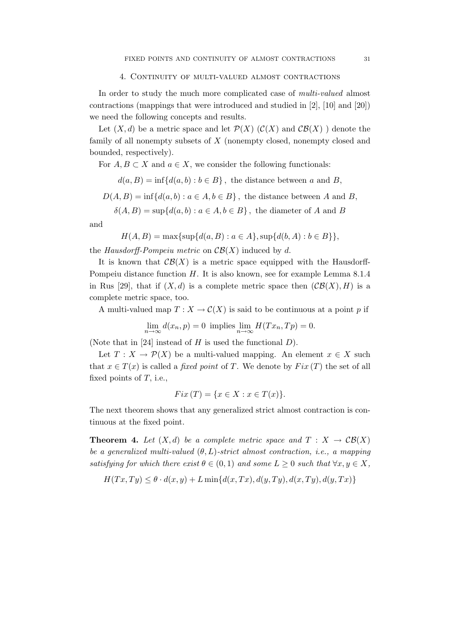In order to study the much more complicated case of multi-valued almost contractions (mappings that were introduced and studied in [2], [10] and [20]) we need the following concepts and results.

Let  $(X, d)$  be a metric space and let  $\mathcal{P}(X)$   $(\mathcal{C}(X)$  and  $\mathcal{CB}(X)$  ) denote the family of all nonempty subsets of X (nonempty closed, nonempty closed and bounded, respectively).

For  $A, B \subset X$  and  $a \in X$ , we consider the following functionals:

 $d(a, B) = \inf \{d(a, b) : b \in B\}$ , the distance between a and B,

$$
D(A, B) = \inf \{d(a, b) : a \in A, b \in B\}
$$
, the distance between A and B,

$$
\delta(A, B) = \sup \{ d(a, b) : a \in A, b \in B \},
$$
 the diameter of A and B

and

$$
H(A, B) = \max\{\sup\{d(a, B) : a \in A\}, \sup\{d(b, A) : b \in B\}\},\
$$

the Hausdorff-Pompeiu metric on  $\mathcal{CB}(X)$  induced by d.

It is known that  $\mathcal{CB}(X)$  is a metric space equipped with the Hausdorff-Pompeiu distance function  $H$ . It is also known, see for example Lemma 8.1.4 in Rus [29], that if  $(X, d)$  is a complete metric space then  $(\mathcal{CB}(X), H)$  is a complete metric space, too.

A multi-valued map  $T: X \to C(X)$  is said to be continuous at a point p if

$$
\lim_{n \to \infty} d(x_n, p) = 0
$$
 implies 
$$
\lim_{n \to \infty} H(Tx_n, Tp) = 0.
$$

(Note that in [24] instead of  $H$  is used the functional  $D$ ).

Let  $T: X \to \mathcal{P}(X)$  be a multi-valued mapping. An element  $x \in X$  such that  $x \in T(x)$  is called a *fixed point* of T. We denote by  $Fix(T)$  the set of all fixed points of  $T$ , i.e.,

$$
Fix(T) = \{ x \in X : x \in T(x) \}.
$$

The next theorem shows that any generalized strict almost contraction is continuous at the fixed point.

**Theorem 4.** Let  $(X,d)$  be a complete metric space and  $T : X \to \mathcal{CB}(X)$ be a generalized multi-valued  $(\theta, L)$ -strict almost contraction, i.e., a mapping satisfying for which there exist  $\theta \in (0,1)$  and some  $L \geq 0$  such that  $\forall x, y \in X$ ,

$$
H(Tx,Ty) \le \theta \cdot d(x,y) + L \min\{d(x,Tx),d(y,Ty),d(x,Ty),d(y,Tx)\}\
$$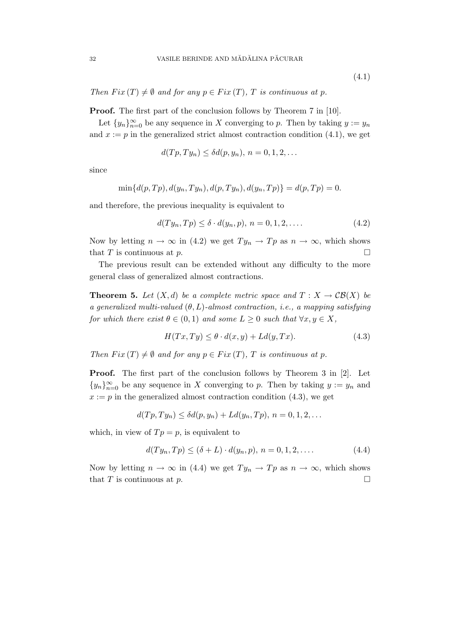(4.1)

Then  $Fix(T) \neq \emptyset$  and for any  $p \in Fix(T)$ , T is continuous at p.

**Proof.** The first part of the conclusion follows by Theorem 7 in [10].

Let  ${y_n}_{n=0}^{\infty}$  be any sequence in X converging to p. Then by taking  $y := y_n$ and  $x := p$  in the generalized strict almost contraction condition  $(4.1)$ , we get

$$
d(Tp, Ty_n) \leq \delta d(p, y_n), n = 0, 1, 2, \dots
$$

since

$$
\min\{d(p,Tp), d(y_n, Ty_n), d(p,Ty_n), d(y_n, T_p)\} = d(p,Tp) = 0.
$$

and therefore, the previous inequality is equivalent to

$$
d(Ty_n, Tp) \le \delta \cdot d(y_n, p), n = 0, 1, 2, \dots
$$
\n
$$
(4.2)
$$

Now by letting  $n \to \infty$  in (4.2) we get  $Ty_n \to Tp$  as  $n \to \infty$ , which shows that T is continuous at p.

The previous result can be extended without any difficulty to the more general class of generalized almost contractions.

**Theorem 5.** Let  $(X, d)$  be a complete metric space and  $T : X \to \mathcal{CB}(X)$  be a generalized multi-valued  $(\theta, L)$ -almost contraction, i.e., a mapping satisfying for which there exist  $\theta \in (0,1)$  and some  $L \geq 0$  such that  $\forall x, y \in X$ ,

$$
H(Tx, Ty) \le \theta \cdot d(x, y) + Ld(y, Tx). \tag{4.3}
$$

Then  $Fix(T) \neq \emptyset$  and for any  $p \in Fix(T)$ , T is continuous at p.

Proof. The first part of the conclusion follows by Theorem 3 in [2]. Let  ${y_n}_{n=0}^{\infty}$  be any sequence in X converging to p. Then by taking  $y := y_n$  and  $x := p$  in the generalized almost contraction condition (4.3), we get

$$
d(Tp,Ty_n) \leq \delta d(p,y_n) + Ld(y_n,Tp), n = 0,1,2,\ldots
$$

which, in view of  $Tp = p$ , is equivalent to

$$
d(Ty_n, Tp) \le (\delta + L) \cdot d(y_n, p), \ n = 0, 1, 2, \dots \tag{4.4}
$$

Now by letting  $n \to \infty$  in (4.4) we get  $Ty_n \to Tp$  as  $n \to \infty$ , which shows that T is continuous at p.  $\Box$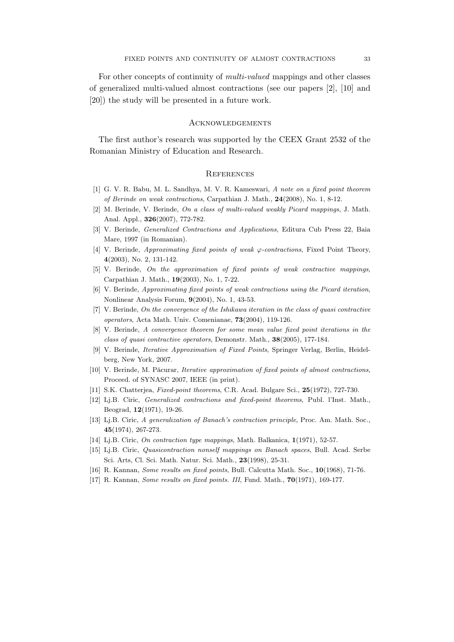For other concepts of continuity of multi-valued mappings and other classes of generalized multi-valued almost contractions (see our papers [2], [10] and [20]) the study will be presented in a future work.

### **ACKNOWLEDGEMENTS**

The first author's research was supported by the CEEX Grant 2532 of the Romanian Ministry of Education and Research.

#### **REFERENCES**

- [1] G. V. R. Babu, M. L. Sandhya, M. V. R. Kameswari, A note on a fixed point theorem of Berinde on weak contractions, Carpathian J. Math., 24(2008), No. 1, 8-12.
- [2] M. Berinde, V. Berinde, On a class of multi-valued weakly Picard mappings, J. Math. Anal. Appl., 326(2007), 772-782.
- [3] V. Berinde, Generalized Contractions and Applications, Editura Cub Press 22, Baia Mare, 1997 (in Romanian).
- [4] V. Berinde, Approximating fixed points of weak  $\varphi$ -contractions, Fixed Point Theory, 4(2003), No. 2, 131-142.
- [5] V. Berinde, On the approximation of fixed points of weak contractive mappings, Carpathian J. Math., 19(2003), No. 1, 7-22.
- [6] V. Berinde, Approximating fixed points of weak contractions using the Picard iteration, Nonlinear Analysis Forum, 9(2004), No. 1, 43-53.
- [7] V. Berinde, On the convergence of the Ishikawa iteration in the class of quasi contractive operators, Acta Math. Univ. Comenianae, 73(2004), 119-126.
- [8] V. Berinde, A convergence theorem for some mean value fixed point iterations in the class of quasi contractive operators, Demonstr. Math., 38(2005), 177-184.
- [9] V. Berinde, Iterative Approximation of Fixed Points, Springer Verlag, Berlin, Heidelberg, New York, 2007.
- [10] V. Berinde, M. Păcurar, Iterative approximation of fixed points of almost contractions, Proceed. of SYNASC 2007, IEEE (in print).
- [11] S.K. Chatterjea, *Fixed-point theorems*, C.R. Acad. Bulgare Sci., 25(1972), 727-730.
- [12] Lj.B. Ciric, Generalized contractions and fixed-point theorems, Publ. l'Inst. Math., Beograd, 12(1971), 19-26.
- [13] Lj.B. Ciric, A generalization of Banach's contraction principle, Proc. Am. Math. Soc., 45(1974), 267-273.
- [14] Lj.B. Ciric, On contraction type mappings, Math. Balkanica, 1(1971), 52-57.
- [15] Lj.B. Ciric, Quasicontraction nonself mappings on Banach spaces, Bull. Acad. Serbe Sci. Arts, Cl. Sci. Math. Natur. Sci. Math., 23(1998), 25-31.
- [16] R. Kannan, Some results on fixed points, Bull. Calcutta Math. Soc., 10(1968), 71-76.
- [17] R. Kannan, Some results on fixed points. III, Fund. Math., **70**(1971), 169-177.